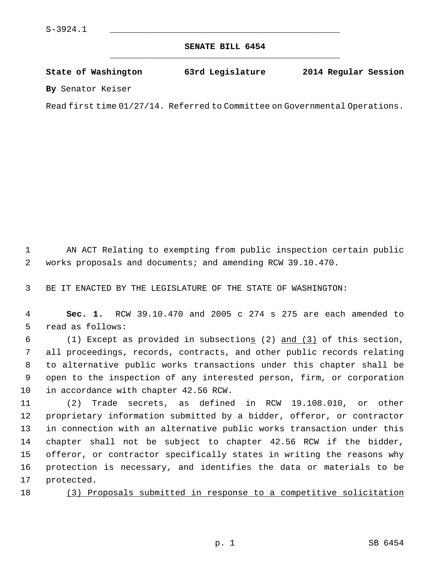## **SENATE BILL 6454** \_\_\_\_\_\_\_\_\_\_\_\_\_\_\_\_\_\_\_\_\_\_\_\_\_\_\_\_\_\_\_\_\_\_\_\_\_\_\_\_\_\_\_\_\_

**State of Washington 63rd Legislature 2014 Regular Session**

**By** Senator Keiser

Read first time 01/27/14. Referred to Committee on Governmental Operations.

 1 AN ACT Relating to exempting from public inspection certain public 2 works proposals and documents; and amending RCW 39.10.470.

3 BE IT ENACTED BY THE LEGISLATURE OF THE STATE OF WASHINGTON:

 4 **Sec. 1.** RCW 39.10.470 and 2005 c 274 s 275 are each amended to 5 read as follows:

 6 (1) Except as provided in subsections (2) and (3) of this section, 7 all proceedings, records, contracts, and other public records relating 8 to alternative public works transactions under this chapter shall be 9 open to the inspection of any interested person, firm, or corporation 10 in accordance with chapter 42.56 RCW.

11 (2) Trade secrets, as defined in RCW 19.108.010, or other 12 proprietary information submitted by a bidder, offeror, or contractor 13 in connection with an alternative public works transaction under this 14 chapter shall not be subject to chapter 42.56 RCW if the bidder, 15 offeror, or contractor specifically states in writing the reasons why 16 protection is necessary, and identifies the data or materials to be 17 protected.

18 (3) Proposals submitted in response to a competitive solicitation